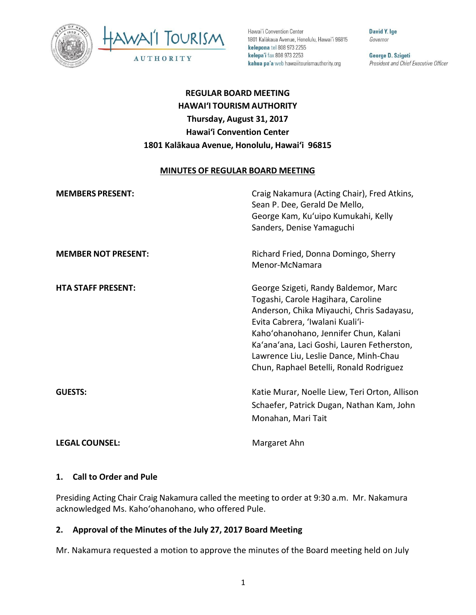



Hawai'i Convention Center 1801 Kalākaua Avenue, Honolulu, Hawai'i 96815 kelepona tel 808 973 2255 kelepa'i fax 808 973 2253 kahua pa'a web hawaiitourismauthority.org

David Y. lge Governor

George D. Szigeti President and Chief Executive Officer

# **REGULAR BOARD MEETING HAWAI'I TOURISM AUTHORITY Thursday, August 31, 2017 Hawai'i Convention Center 1801 Kalākaua Avenue, Honolulu, Hawai'i 96815**

#### **MINUTES OF REGULAR BOARD MEETING**

| <b>MEMBERS PRESENT:</b>    | Craig Nakamura (Acting Chair), Fred Atkins,<br>Sean P. Dee, Gerald De Mello,<br>George Kam, Ku'uipo Kumukahi, Kelly<br>Sanders, Denise Yamaguchi                                                                                                                                                                                       |
|----------------------------|----------------------------------------------------------------------------------------------------------------------------------------------------------------------------------------------------------------------------------------------------------------------------------------------------------------------------------------|
| <b>MEMBER NOT PRESENT:</b> | Richard Fried, Donna Domingo, Sherry<br>Menor-McNamara                                                                                                                                                                                                                                                                                 |
| <b>HTA STAFF PRESENT:</b>  | George Szigeti, Randy Baldemor, Marc<br>Togashi, Carole Hagihara, Caroline<br>Anderson, Chika Miyauchi, Chris Sadayasu,<br>Evita Cabrera, 'Iwalani Kuali'i-<br>Kaho'ohanohano, Jennifer Chun, Kalani<br>Ka'ana'ana, Laci Goshi, Lauren Fetherston,<br>Lawrence Liu, Leslie Dance, Minh-Chau<br>Chun, Raphael Betelli, Ronald Rodriguez |
| <b>GUESTS:</b>             | Katie Murar, Noelle Liew, Teri Orton, Allison<br>Schaefer, Patrick Dugan, Nathan Kam, John<br>Monahan, Mari Tait                                                                                                                                                                                                                       |
| <b>LEGAL COUNSEL:</b>      | Margaret Ahn                                                                                                                                                                                                                                                                                                                           |

#### **1. Call to Order and Pule**

Presiding Acting Chair Craig Nakamura called the meeting to order at 9:30 a.m. Mr. Nakamura acknowledged Ms. Kaho'ohanohano, who offered Pule.

## **2. Approval of the Minutes of the July 27, 2017 Board Meeting**

Mr. Nakamura requested a motion to approve the minutes of the Board meeting held on July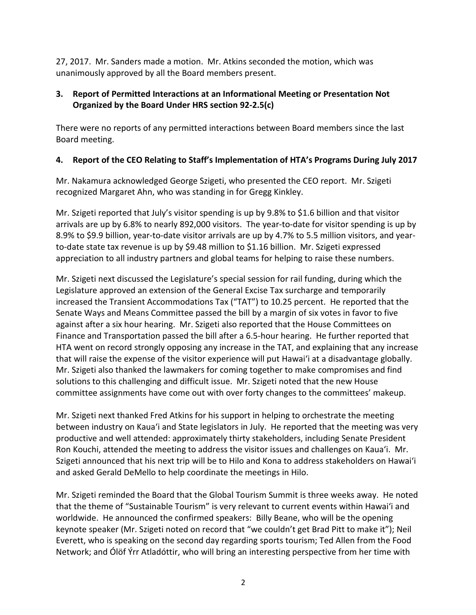27, 2017. Mr. Sanders made a motion. Mr. Atkins seconded the motion, which was unanimously approved by all the Board members present.

# **3. Report of Permitted Interactions at an Informational Meeting or Presentation Not Organized by the Board Under HRS section 92-2.5(c)**

There were no reports of any permitted interactions between Board members since the last Board meeting.

# **4. Report of the CEO Relating to Staff's Implementation of HTA's Programs During July 2017**

Mr. Nakamura acknowledged George Szigeti, who presented the CEO report. Mr. Szigeti recognized Margaret Ahn, who was standing in for Gregg Kinkley.

Mr. Szigeti reported that July's visitor spending is up by 9.8% to \$1.6 billion and that visitor arrivals are up by 6.8% to nearly 892,000 visitors. The year-to-date for visitor spending is up by 8.9% to \$9.9 billion, year-to-date visitor arrivals are up by 4.7% to 5.5 million visitors, and yearto-date state tax revenue is up by \$9.48 million to \$1.16 billion. Mr. Szigeti expressed appreciation to all industry partners and global teams for helping to raise these numbers.

Mr. Szigeti next discussed the Legislature's special session for rail funding, during which the Legislature approved an extension of the General Excise Tax surcharge and temporarily increased the Transient Accommodations Tax ("TAT") to 10.25 percent. He reported that the Senate Ways and Means Committee passed the bill by a margin of six votes in favor to five against after a six hour hearing. Mr. Szigeti also reported that the House Committees on Finance and Transportation passed the bill after a 6.5-hour hearing. He further reported that HTA went on record strongly opposing any increase in the TAT, and explaining that any increase that will raise the expense of the visitor experience will put Hawai'i at a disadvantage globally. Mr. Szigeti also thanked the lawmakers for coming together to make compromises and find solutions to this challenging and difficult issue. Mr. Szigeti noted that the new House committee assignments have come out with over forty changes to the committees' makeup.

Mr. Szigeti next thanked Fred Atkins for his support in helping to orchestrate the meeting between industry on Kaua'i and State legislators in July. He reported that the meeting was very productive and well attended: approximately thirty stakeholders, including Senate President Ron Kouchi, attended the meeting to address the visitor issues and challenges on Kaua'i. Mr. Szigeti announced that his next trip will be to Hilo and Kona to address stakeholders on Hawai'i and asked Gerald DeMello to help coordinate the meetings in Hilo.

Mr. Szigeti reminded the Board that the Global Tourism Summit is three weeks away. He noted that the theme of "Sustainable Tourism" is very relevant to current events within Hawai'i and worldwide. He announced the confirmed speakers: Billy Beane, who will be the opening keynote speaker (Mr. Szigeti noted on record that "we couldn't get Brad Pitt to make it"); Neil Everett, who is speaking on the second day regarding sports tourism; Ted Allen from the Food Network; and Ólöf Ýrr Atladóttir, who will bring an interesting perspective from her time with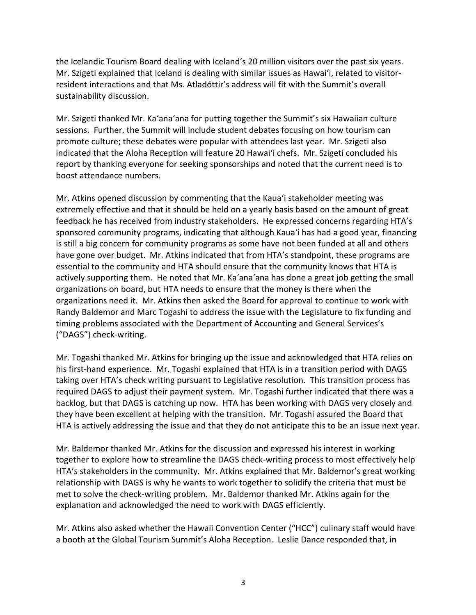the Icelandic Tourism Board dealing with Iceland's 20 million visitors over the past six years. Mr. Szigeti explained that Iceland is dealing with similar issues as Hawai'i, related to visitorresident interactions and that Ms. Atladóttir's address will fit with the Summit's overall sustainability discussion.

Mr. Szigeti thanked Mr. Ka'ana'ana for putting together the Summit's six Hawaiian culture sessions. Further, the Summit will include student debates focusing on how tourism can promote culture; these debates were popular with attendees last year. Mr. Szigeti also indicated that the Aloha Reception will feature 20 Hawai'i chefs. Mr. Szigeti concluded his report by thanking everyone for seeking sponsorships and noted that the current need is to boost attendance numbers.

Mr. Atkins opened discussion by commenting that the Kaua'i stakeholder meeting was extremely effective and that it should be held on a yearly basis based on the amount of great feedback he has received from industry stakeholders. He expressed concerns regarding HTA's sponsored community programs, indicating that although Kaua'i has had a good year, financing is still a big concern for community programs as some have not been funded at all and others have gone over budget. Mr. Atkins indicated that from HTA's standpoint, these programs are essential to the community and HTA should ensure that the community knows that HTA is actively supporting them. He noted that Mr. Ka'ana'ana has done a great job getting the small organizations on board, but HTA needs to ensure that the money is there when the organizations need it. Mr. Atkins then asked the Board for approval to continue to work with Randy Baldemor and Marc Togashi to address the issue with the Legislature to fix funding and timing problems associated with the Department of Accounting and General Services's ("DAGS") check-writing.

Mr. Togashi thanked Mr. Atkins for bringing up the issue and acknowledged that HTA relies on his first-hand experience. Mr. Togashi explained that HTA is in a transition period with DAGS taking over HTA's check writing pursuant to Legislative resolution. This transition process has required DAGS to adjust their payment system. Mr. Togashi further indicated that there was a backlog, but that DAGS is catching up now. HTA has been working with DAGS very closely and they have been excellent at helping with the transition. Mr. Togashi assured the Board that HTA is actively addressing the issue and that they do not anticipate this to be an issue next year.

Mr. Baldemor thanked Mr. Atkins for the discussion and expressed his interest in working together to explore how to streamline the DAGS check-writing process to most effectively help HTA's stakeholders in the community. Mr. Atkins explained that Mr. Baldemor's great working relationship with DAGS is why he wants to work together to solidify the criteria that must be met to solve the check-writing problem. Mr. Baldemor thanked Mr. Atkins again for the explanation and acknowledged the need to work with DAGS efficiently.

Mr. Atkins also asked whether the Hawaii Convention Center ("HCC") culinary staff would have a booth at the Global Tourism Summit's Aloha Reception. Leslie Dance responded that, in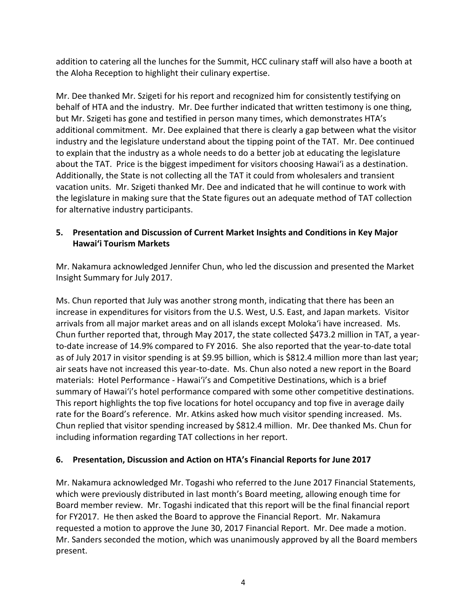addition to catering all the lunches for the Summit, HCC culinary staff will also have a booth at the Aloha Reception to highlight their culinary expertise.

Mr. Dee thanked Mr. Szigeti for his report and recognized him for consistently testifying on behalf of HTA and the industry. Mr. Dee further indicated that written testimony is one thing, but Mr. Szigeti has gone and testified in person many times, which demonstrates HTA's additional commitment. Mr. Dee explained that there is clearly a gap between what the visitor industry and the legislature understand about the tipping point of the TAT. Mr. Dee continued to explain that the industry as a whole needs to do a better job at educating the legislature about the TAT. Price is the biggest impediment for visitors choosing Hawai'i as a destination. Additionally, the State is not collecting all the TAT it could from wholesalers and transient vacation units. Mr. Szigeti thanked Mr. Dee and indicated that he will continue to work with the legislature in making sure that the State figures out an adequate method of TAT collection for alternative industry participants.

# **5. Presentation and Discussion of Current Market Insights and Conditions in Key Major Hawai'i Tourism Markets**

Mr. Nakamura acknowledged Jennifer Chun, who led the discussion and presented the Market Insight Summary for July 2017.

Ms. Chun reported that July was another strong month, indicating that there has been an increase in expenditures for visitors from the U.S. West, U.S. East, and Japan markets. Visitor arrivals from all major market areas and on all islands except Moloka'i have increased. Ms. Chun further reported that, through May 2017, the state collected \$473.2 million in TAT, a yearto-date increase of 14.9% compared to FY 2016. She also reported that the year-to-date total as of July 2017 in visitor spending is at \$9.95 billion, which is \$812.4 million more than last year; air seats have not increased this year-to-date. Ms. Chun also noted a new report in the Board materials: Hotel Performance - Hawai'i's and Competitive Destinations, which is a brief summary of Hawai'i's hotel performance compared with some other competitive destinations. This report highlights the top five locations for hotel occupancy and top five in average daily rate for the Board's reference. Mr. Atkins asked how much visitor spending increased. Ms. Chun replied that visitor spending increased by \$812.4 million. Mr. Dee thanked Ms. Chun for including information regarding TAT collections in her report.

## **6. Presentation, Discussion and Action on HTA's Financial Reports for June 2017**

Mr. Nakamura acknowledged Mr. Togashi who referred to the June 2017 Financial Statements, which were previously distributed in last month's Board meeting, allowing enough time for Board member review. Mr. Togashi indicated that this report will be the final financial report for FY2017. He then asked the Board to approve the Financial Report. Mr. Nakamura requested a motion to approve the June 30, 2017 Financial Report. Mr. Dee made a motion. Mr. Sanders seconded the motion, which was unanimously approved by all the Board members present.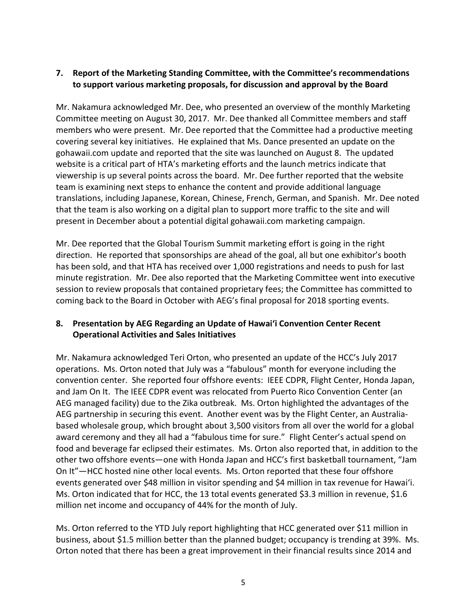## **7. Report of the Marketing Standing Committee, with the Committee's recommendations to support various marketing proposals, for discussion and approval by the Board**

Mr. Nakamura acknowledged Mr. Dee, who presented an overview of the monthly Marketing Committee meeting on August 30, 2017. Mr. Dee thanked all Committee members and staff members who were present. Mr. Dee reported that the Committee had a productive meeting covering several key initiatives. He explained that Ms. Dance presented an update on the gohawaii.com update and reported that the site was launched on August 8. The updated website is a critical part of HTA's marketing efforts and the launch metrics indicate that viewership is up several points across the board. Mr. Dee further reported that the website team is examining next steps to enhance the content and provide additional language translations, including Japanese, Korean, Chinese, French, German, and Spanish. Mr. Dee noted that the team is also working on a digital plan to support more traffic to the site and will present in December about a potential digital gohawaii.com marketing campaign.

Mr. Dee reported that the Global Tourism Summit marketing effort is going in the right direction. He reported that sponsorships are ahead of the goal, all but one exhibitor's booth has been sold, and that HTA has received over 1,000 registrations and needs to push for last minute registration. Mr. Dee also reported that the Marketing Committee went into executive session to review proposals that contained proprietary fees; the Committee has committed to coming back to the Board in October with AEG's final proposal for 2018 sporting events.

# **8. Presentation by AEG Regarding an Update of Hawai'i Convention Center Recent Operational Activities and Sales Initiatives**

Mr. Nakamura acknowledged Teri Orton, who presented an update of the HCC's July 2017 operations. Ms. Orton noted that July was a "fabulous" month for everyone including the convention center. She reported four offshore events: IEEE CDPR, Flight Center, Honda Japan, and Jam On It. The IEEE CDPR event was relocated from Puerto Rico Convention Center (an AEG managed facility) due to the Zika outbreak. Ms. Orton highlighted the advantages of the AEG partnership in securing this event. Another event was by the Flight Center, an Australiabased wholesale group, which brought about 3,500 visitors from all over the world for a global award ceremony and they all had a "fabulous time for sure." Flight Center's actual spend on food and beverage far eclipsed their estimates. Ms. Orton also reported that, in addition to the other two offshore events—one with Honda Japan and HCC's first basketball tournament, "Jam On It"—HCC hosted nine other local events. Ms. Orton reported that these four offshore events generated over \$48 million in visitor spending and \$4 million in tax revenue for Hawai'i. Ms. Orton indicated that for HCC, the 13 total events generated \$3.3 million in revenue, \$1.6 million net income and occupancy of 44% for the month of July.

Ms. Orton referred to the YTD July report highlighting that HCC generated over \$11 million in business, about \$1.5 million better than the planned budget; occupancy is trending at 39%. Ms. Orton noted that there has been a great improvement in their financial results since 2014 and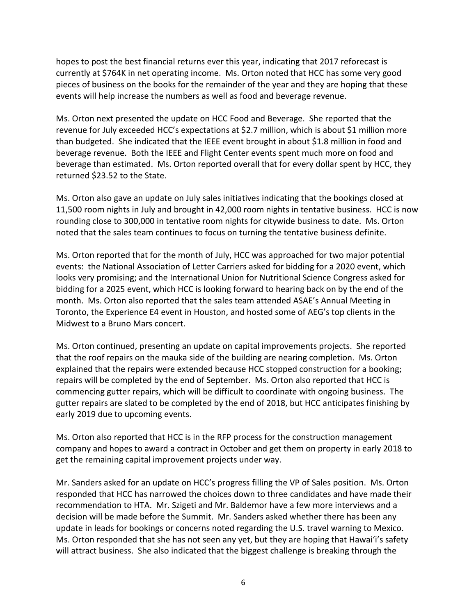hopes to post the best financial returns ever this year, indicating that 2017 reforecast is currently at \$764K in net operating income. Ms. Orton noted that HCC has some very good pieces of business on the books for the remainder of the year and they are hoping that these events will help increase the numbers as well as food and beverage revenue.

Ms. Orton next presented the update on HCC Food and Beverage. She reported that the revenue for July exceeded HCC's expectations at \$2.7 million, which is about \$1 million more than budgeted. She indicated that the IEEE event brought in about \$1.8 million in food and beverage revenue. Both the IEEE and Flight Center events spent much more on food and beverage than estimated. Ms. Orton reported overall that for every dollar spent by HCC, they returned \$23.52 to the State.

Ms. Orton also gave an update on July sales initiatives indicating that the bookings closed at 11,500 room nights in July and brought in 42,000 room nights in tentative business. HCC is now rounding close to 300,000 in tentative room nights for citywide business to date. Ms. Orton noted that the sales team continues to focus on turning the tentative business definite.

Ms. Orton reported that for the month of July, HCC was approached for two major potential events: the National Association of Letter Carriers asked for bidding for a 2020 event, which looks very promising; and the International Union for Nutritional Science Congress asked for bidding for a 2025 event, which HCC is looking forward to hearing back on by the end of the month. Ms. Orton also reported that the sales team attended ASAE's Annual Meeting in Toronto, the Experience E4 event in Houston, and hosted some of AEG's top clients in the Midwest to a Bruno Mars concert.

Ms. Orton continued, presenting an update on capital improvements projects. She reported that the roof repairs on the mauka side of the building are nearing completion. Ms. Orton explained that the repairs were extended because HCC stopped construction for a booking; repairs will be completed by the end of September. Ms. Orton also reported that HCC is commencing gutter repairs, which will be difficult to coordinate with ongoing business. The gutter repairs are slated to be completed by the end of 2018, but HCC anticipates finishing by early 2019 due to upcoming events.

Ms. Orton also reported that HCC is in the RFP process for the construction management company and hopes to award a contract in October and get them on property in early 2018 to get the remaining capital improvement projects under way.

Mr. Sanders asked for an update on HCC's progress filling the VP of Sales position. Ms. Orton responded that HCC has narrowed the choices down to three candidates and have made their recommendation to HTA. Mr. Szigeti and Mr. Baldemor have a few more interviews and a decision will be made before the Summit. Mr. Sanders asked whether there has been any update in leads for bookings or concerns noted regarding the U.S. travel warning to Mexico. Ms. Orton responded that she has not seen any yet, but they are hoping that Hawai'i's safety will attract business. She also indicated that the biggest challenge is breaking through the